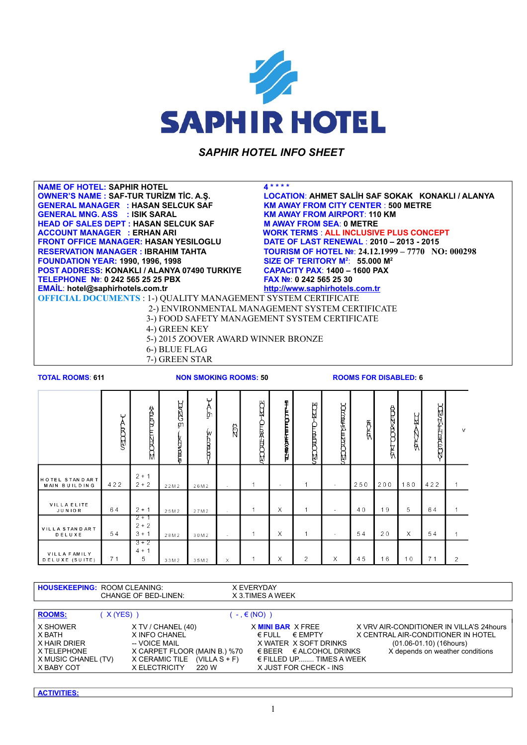

*SAPHIR HOTEL INFO SHEET* 

**NAME OF HOTEL: SAPHIR HOTEL 4 \* \* \* \* GENERAL MANAGER : HASAN SELCUK SAF KM AWAY FROM CITY CENTER** : **500 METRE GENERAL MNG. ASS : ISIK SARAL KM AWAY FROM AIRPORT**: **110 KM HEAD OF SALES DEPT : HASAN SELCUK SAF M AWAY FROM SEA**: **0 METRE ACCOUNT MANAGER : ERHAN ARI WORK TERMS : ALL INCLUSIVE PLUS CONCEPT<br>FRONT OFFICE MANAGER: HASAN YESILOGLU DATE OF LAST RENEWAL : 2010 - 2013 - 2015 FOUNDATION YEAR: 1990, 1996, 1998 POST ADDRESS: KONAKLI / ALANYA 07490 TURKIYE CAPACITY PAX: 1400 - 1600 PAX<br>TELEPHONE №: 0 242 565 25 25 PBX FAX №: 0 242 565 25 30 TELEPHONE №**: **0 242 565 25 25 PBX FAX №**: **0 242 565 25 30**

**OWNER'S NAME : SAF-TUR TURİZM TİC. A.Ş. LOCATION**: **AHMET SALİH SAF SOKAK KONAKLI / ALANYA FRONT OF LAST RENEWAL : 2010 – 2013 - 2015 RESERVATION MANAGER : IBRAHIM TAHTA TOURISM OF HOTEL №**: **24.12.1999 – 7770 NO: 000298 SIZE OF TERITORY M<sup>2</sup>: 55.000 M<sup>2</sup> EMAİL**: **hotel@saphirhotels.com.tr [http://www.saphirhotels.com.tr](http://www.saphirhotels.com.tr/)**

**OFFICIAL DOCUMENTS** : 1-) QUALITY MANAGEMENT SYSTEM CERTIFICATE

- 2-) ENVIRONMENTAL MANAGEMENT SYSTEM CERTIFICATE
- 3-) FOOD SAFETY MANAGEMENT SYSTEM CERTIFICATE

4-) GREEN KEY

- 5-) 2015 ZOOVER AWARD WINNER BRONZE
- 6-) BLUE FLAG
- 7-) GREEN STAR

**TOTAL ROOMS**: **611 NON SMOKING ROOMS: 50 ROOMS FOR DISABLED: 6**

|                                       | ب<br>A<br><b>RODE</b> | <b>SCOULZIT LOTES</b>         | anzi<br>B<br><b>THE MODE</b> | ب<br>А<br><del>ត្រ</del><br>w<br>白尾 | $\beta$  | स्य<br><b>CLIDEFERED</b> | FT-LECOLERASE-U          | स्राह<br><b>CLONDING</b> | <b>SECONDEMISHING</b> | 医原  | <b>REALD</b><br>₿ | и<br>€   | <b>Rish</b><br><b>EDRUCE</b> | $\mathsf{v}$   |
|---------------------------------------|-----------------------|-------------------------------|------------------------------|-------------------------------------|----------|--------------------------|--------------------------|--------------------------|-----------------------|-----|-------------------|----------|------------------------------|----------------|
| HOTEL STANDART<br>MAIN BUILDING       | 422                   | $2 + 1$<br>$2 + 2$            | 2 2 M 2                      | 26M2                                | $\sim$   | 1                        | $\overline{\phantom{a}}$ | 1                        |                       | 250 | 200               | 180      | 422                          |                |
| VILLA ELITE<br><b>JUNIOR</b>          | 64                    | $2 + 1$                       | 25M2                         | 27M2                                | $\sim$   | 1                        | $\times$                 | 1                        |                       | 40  | 19                | 5        | 64                           |                |
| VILLA STANDART<br>DELUXE              | 54                    | $2 + 1$<br>$2 + 2$<br>$3 + 1$ | 28M2                         | 30M2                                | $\sim$   | 1                        | $\times$                 | 1                        |                       | 54  | 20                | $\times$ | 54                           |                |
| <b>VILLA FAMILY</b><br>DELUXE (SUITE) | 71                    | $3 + 2$<br>$4 + 1$<br>5       | 33M2                         | 35M2                                | $\times$ |                          | X                        | $\overline{2}$           | $\times$              | 45  | 16                | 10       | 71                           | $\overline{2}$ |

| <b>HOUSEKEEPING: ROOM CLEANING:</b>                                                    | <b>CHANGE OF BED-LINEN:</b>                                                                                                                         | X EVERYDAY<br>X 3. TIMES A WEEK                                                                                                                                                          |                                                                                                                                                   |
|----------------------------------------------------------------------------------------|-----------------------------------------------------------------------------------------------------------------------------------------------------|------------------------------------------------------------------------------------------------------------------------------------------------------------------------------------------|---------------------------------------------------------------------------------------------------------------------------------------------------|
| <b>ROOMS:</b><br>(X(YES))                                                              |                                                                                                                                                     | $(-, \in (NO))$                                                                                                                                                                          |                                                                                                                                                   |
| X SHOWER<br>X BATH<br>X HAIR DRIER<br>X TELEPHONE<br>X MUSIC CHANEL (TV)<br>X BABY COT | $X$ TV / CHANEL (40)<br>X INFO CHANEL<br>-- VOICE MAIL<br>X CARPET FLOOR (MAIN B.) %70<br>X CERAMIC TILE (VILLA $S + F$ )<br>X ELECTRICITY<br>220 W | X MINI BAR X FREE<br>$\in$ EMPTY<br>$\epsilon$ FULL<br>X WATER X SOFT DRINKS<br>$\epsilon$ BEER $\epsilon$ ALCOHOL DRINKS<br>$\epsilon$ FILLED UP TIMES A WEEK<br>X JUST FOR CHECK - INS | X VRV AIR-CONDITIONER IN VILLA'S 24 hours<br>X CENTRAL AIR-CONDITIONER IN HOTEL<br>$(01.06 - 01.10)$ (16hours)<br>X depends on weather conditions |

**ACTIVITIES:**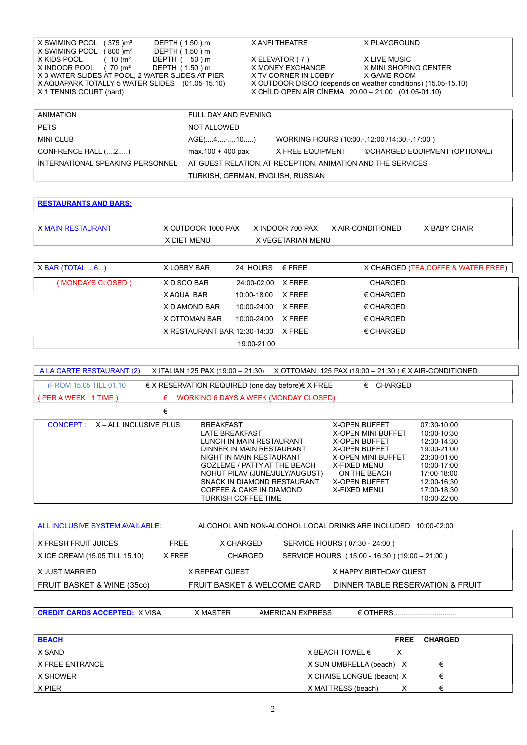| $(375)$ m <sup>2</sup><br>X SWIMING POOL<br>DEPTH (1.50) m |                             | X ANFI THEATRE                                                | X PLAYGROUND                  |
|------------------------------------------------------------|-----------------------------|---------------------------------------------------------------|-------------------------------|
| X SWIMING POOL<br>$(800)$ m <sup>2</sup><br>DEPTH (1.50) m |                             |                                                               |                               |
| X KIDS POOL<br>$(10)$ m <sup>2</sup><br>DEPTH (            | 50 ) m                      | X ELEVATOR (7)                                                | X LIVE MUSIC                  |
| X INDOOR POOL<br>$(70)$ m <sup>2</sup><br>DEPTH (1.50) m   |                             | X MONEY EXCHANGE                                              | X MINI SHOPING CENTER         |
| X 3 WATER SLIDES AT POOL. 2 WATER SLIDES AT PIER           |                             | X TV CORNER IN LOBBY                                          | X GAME ROOM                   |
| X AQUAPARK TOTALLY 5 WATER SLIDES (01.05-15.10)            |                             | X OUTDOOR DISCO (depends on weather conditions) (15.05-15.10) |                               |
| X 1 TENNIS COURT (hard)                                    |                             | X CHİLD OPEN AİR CİNEMA 20:00 - 21:00 (01.05-01.10)           |                               |
|                                                            |                             |                                                               |                               |
| <b>ANIMATION</b>                                           | <b>FULL DAY AND EVENING</b> |                                                               |                               |
|                                                            |                             |                                                               |                               |
| <b>PETS</b>                                                | NOT ALLOWED                 |                                                               |                               |
| <b>MINI CLUB</b>                                           | $AGE(4-10)$                 | WORKING HOURS (10:00.-12:00 /14:30.-17:00)                    |                               |
| CONFRENCE HALL (2)                                         | $max.100 + 400$ pax         | X FREE EQUIPMENT                                              | ©CHARGED EQUIPMENT (OPTIONAL) |
| <b>INTERNATIONAL SPEAKING PERSONNEL</b>                    |                             | AT GUEST RELATION, AT RECEPTION, ANIMATION AND THE SERVICES   |                               |
|                                                            |                             | TURKISH, GERMAN, ENGLISH, RUSSIAN                             |                               |
|                                                            |                             |                                                               |                               |

| <b>RESTAURANTS AND BARS:</b> |                              |             |                   |                    |                                     |
|------------------------------|------------------------------|-------------|-------------------|--------------------|-------------------------------------|
| <b>X MAIN RESTAURANT</b>     | X OUTDOOR 1000 PAX           |             | X INDOOR 700 PAX  | X AIR-CONDITIONED  | X BABY CHAIR                        |
|                              | X DIET MENU                  |             | X VEGETARIAN MENU |                    |                                     |
|                              |                              |             |                   |                    |                                     |
| $X$ BAR (TOTAL $6$ )         | X LOBBY BAR                  | 24 HOURS    | $\epsilon$ FREE   |                    | X CHARGED (TEA, COFFE & WATER FREE) |
| (MONDAYS CLOSED)             | X DISCO BAR                  | 24:00-02:00 | X FREE            | <b>CHARGED</b>     |                                     |
|                              | X AQUA BAR                   | 10:00-18:00 | X FREE            | $\epsilon$ CHARGED |                                     |
|                              | X DIAMOND BAR                | 10:00-24:00 | X FREE            | $\epsilon$ CHARGED |                                     |
|                              | X OTTOMAN BAR                | 10:00-24:00 | X FREE            | $\epsilon$ CHARGED |                                     |
|                              | X RESTAURANT BAR 12:30-14:30 |             | X FREE            | $\epsilon$ CHARGED |                                     |
|                              |                              | 19:00-21:00 |                   |                    |                                     |

|  | A LA CARTE RESTAURANT (2) X ITALIAN 125 PAX (19:00 - 21:30) X OTTOMAN 125 PAX (19:00 - 21:30) $\in$ X AIR-CONDITIONED |
|--|-----------------------------------------------------------------------------------------------------------------------|
|  |                                                                                                                       |

| (FROM 15.05 TILL 01.10)            | $\in$ X RESERVATION REQUIRED (one day before) $\in$ X FREE                                                                                                                                                                                                                         | <b>CHARGED</b><br>€                                                                                                                                                                                           |                                                                                                                                                    |
|------------------------------------|------------------------------------------------------------------------------------------------------------------------------------------------------------------------------------------------------------------------------------------------------------------------------------|---------------------------------------------------------------------------------------------------------------------------------------------------------------------------------------------------------------|----------------------------------------------------------------------------------------------------------------------------------------------------|
| (PER A WEEK 1 TIME)<br>€           | WORKING 6 DAYS A WEEK (MONDAY CLOSED)                                                                                                                                                                                                                                              |                                                                                                                                                                                                               |                                                                                                                                                    |
| €                                  |                                                                                                                                                                                                                                                                                    |                                                                                                                                                                                                               |                                                                                                                                                    |
| CONCEPT:<br>X – ALL INCLUSIVE PLUS | <b>BREAKFAST</b><br>LATE BREAKFAST<br>LUNCH IN MAIN RESTAURANT<br>DINNER IN MAIN RESTAURANT<br>NIGHT IN MAIN RESTAURANT<br><b>GOZLEME / PATTY AT THE BEACH</b><br>NOHUT PILAV (JUNE/JULY/AUGUST)<br>SNACK IN DIAMOND RESTAURANT<br>COFFEE & CAKE IN DIAMOND<br>TURKISH COFFEE TIME | <b>X-OPEN BUFFET</b><br><b>X-OPEN MINI BUFFET</b><br><b>X-OPEN BUFFET</b><br><b>X-OPEN BUFFET</b><br><b>X-OPEN MINI BUFFET</b><br><b>X-FIXED MENU</b><br>ON THE BEACH<br><b>X-OPEN BUFFET</b><br>X-FIXED MENU | 07:30-10:00<br>10:00-10:30<br>12:30-14:30<br>19:00-21:00<br>23:30-01:00<br>10:00-17:00<br>17:00-18:00<br>12:00-16:30<br>17:00-18:30<br>10:00-22:00 |
| ALL INCLUSIVE SYSTEM AVAILABLE:    |                                                                                                                                                                                                                                                                                    | ALCOHOL AND NON-ALCOHOL LOCAL DRINKS ARE INCLUDED                                                                                                                                                             | 10:00-02:00                                                                                                                                        |
|                                    |                                                                                                                                                                                                                                                                                    |                                                                                                                                                                                                               |                                                                                                                                                    |

| I X FRESH FRUIT JUICES.        | <b>FREE</b> | X CHARGED                   | SERVICE HOURS ( 07:30 - 24:00 )               |
|--------------------------------|-------------|-----------------------------|-----------------------------------------------|
| X ICE CREAM (15.05 TILL 15.10) | X FREE      | <b>CHARGED</b>              | SERVICE HOURS (15:00 - 16:30) (19:00 - 21:00) |
| I X JUST MARRIED               |             | X REPEAT GUEST              | X HAPPY BIRTHDAY GUEST                        |
| FRUIT BASKET & WINE (35cc)     |             | FRUIT BASKET & WELCOME CARD | DINNER TABLE RESERVATION & FRUIT              |

**CREDIT CARDS ACCEPTED:** X VISA X MASTER AMERICAN EXPRESS € OTHERS................................

| <b>BEACH</b>    |                           | <b>FREE</b> | <b>CHARGED</b> |
|-----------------|---------------------------|-------------|----------------|
| X SAND          | X BEACH TOWEL €           |             |                |
| X FREE ENTRANCE | X SUN UMBRELLA (beach) X  |             | €              |
| X SHOWER        | X CHAISE LONGUE (beach) X |             | €              |
| X PIER          | X MATTRESS (beach)        |             |                |